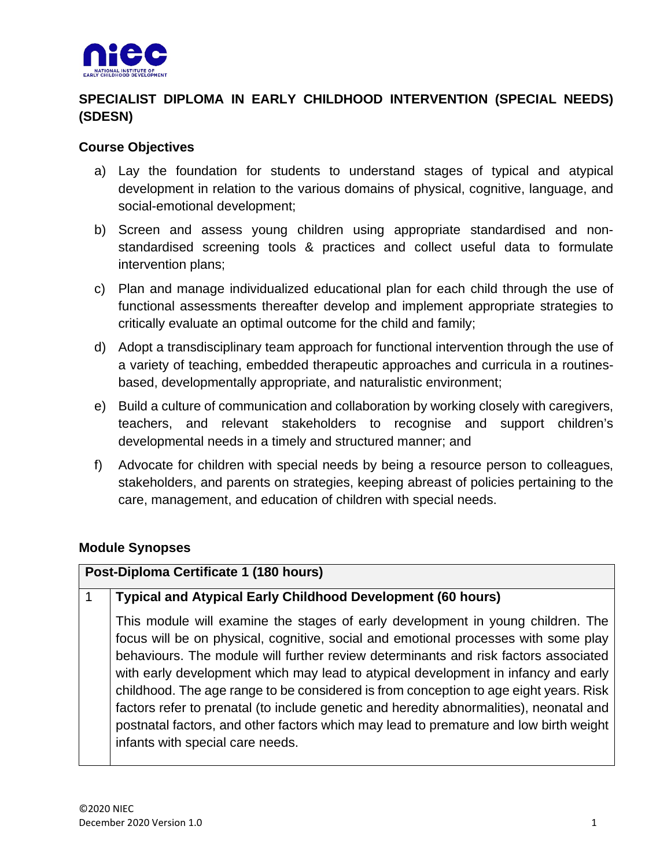

# **SPECIALIST DIPLOMA IN EARLY CHILDHOOD INTERVENTION (SPECIAL NEEDS) (SDESN)**

#### **Course Objectives**

- a) Lay the foundation for students to understand stages of typical and atypical development in relation to the various domains of physical, cognitive, language, and social-emotional development;
- b) Screen and assess young children using appropriate standardised and nonstandardised screening tools & practices and collect useful data to formulate intervention plans;
- c) Plan and manage individualized educational plan for each child through the use of functional assessments thereafter develop and implement appropriate strategies to critically evaluate an optimal outcome for the child and family;
- d) Adopt a transdisciplinary team approach for functional intervention through the use of a variety of teaching, embedded therapeutic approaches and curricula in a routinesbased, developmentally appropriate, and naturalistic environment;
- e) Build a culture of communication and collaboration by working closely with caregivers, teachers, and relevant stakeholders to recognise and support children's developmental needs in a timely and structured manner; and
- f) Advocate for children with special needs by being a resource person to colleagues, stakeholders, and parents on strategies, keeping abreast of policies pertaining to the care, management, and education of children with special needs.

#### **Module Synopses**

## **Post-Diploma Certificate 1 (180 hours)**

#### 1 **Typical and Atypical Early Childhood Development (60 hours)**

This module will examine the stages of early development in young children. The focus will be on physical, cognitive, social and emotional processes with some play behaviours. The module will further review determinants and risk factors associated with early development which may lead to atypical development in infancy and early childhood. The age range to be considered is from conception to age eight years. Risk factors refer to prenatal (to include genetic and heredity abnormalities), neonatal and postnatal factors, and other factors which may lead to premature and low birth weight infants with special care needs.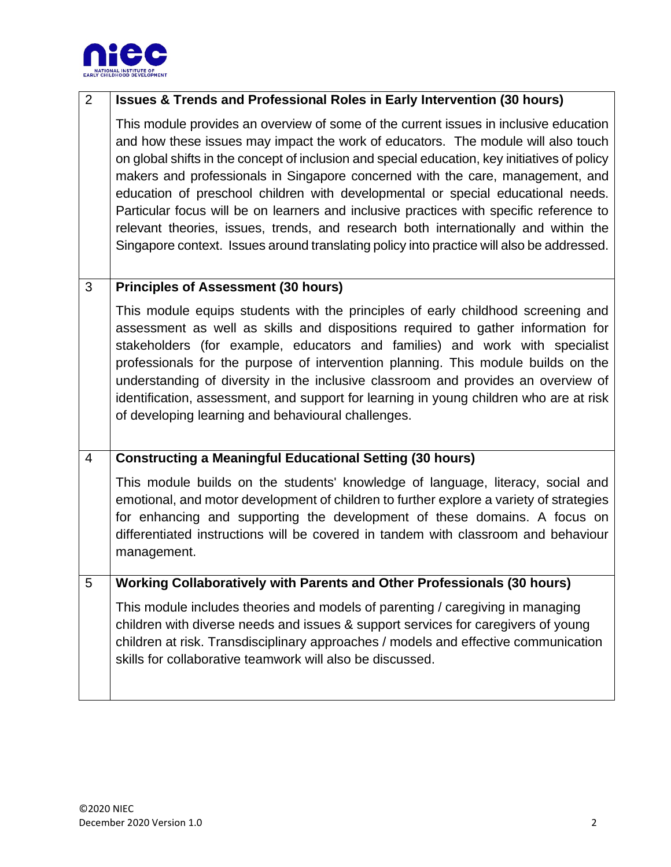

## 2 **Issues & Trends and Professional Roles in Early Intervention (30 hours)**

This module provides an overview of some of the current issues in inclusive education and how these issues may impact the work of educators. The module will also touch on global shifts in the concept of inclusion and special education, key initiatives of policy makers and professionals in Singapore concerned with the care, management, and education of preschool children with developmental or special educational needs. Particular focus will be on learners and inclusive practices with specific reference to relevant theories, issues, trends, and research both internationally and within the Singapore context. Issues around translating policy into practice will also be addressed.

#### 3 **Principles of Assessment (30 hours)**

This module equips students with the principles of early childhood screening and assessment as well as skills and dispositions required to gather information for stakeholders (for example, educators and families) and work with specialist professionals for the purpose of intervention planning. This module builds on the understanding of diversity in the inclusive classroom and provides an overview of identification, assessment, and support for learning in young children who are at risk of developing learning and behavioural challenges.

## 4 **Constructing a Meaningful Educational Setting (30 hours)**

This module builds on the students' knowledge of language, literacy, social and emotional, and motor development of children to further explore a variety of strategies for enhancing and supporting the development of these domains. A focus on differentiated instructions will be covered in tandem with classroom and behaviour management.

#### 5 **Working Collaboratively with Parents and Other Professionals (30 hours)**

This module includes theories and models of parenting / caregiving in managing children with diverse needs and issues & support services for caregivers of young children at risk. Transdisciplinary approaches / models and effective communication skills for collaborative teamwork will also be discussed.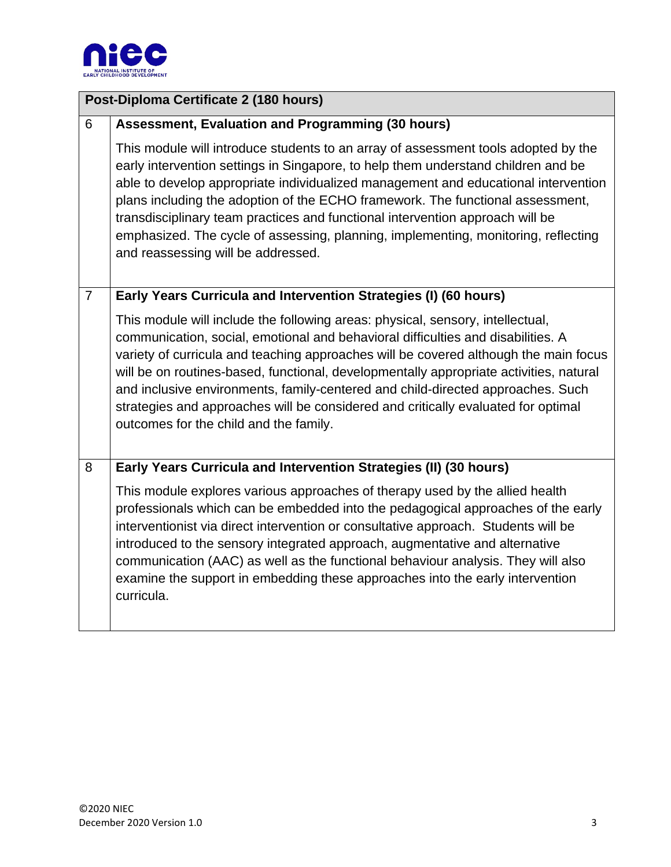

| Post-Diploma Certificate 2 (180 hours) |                                                                                                                                                                                                                                                                                                                                                                                                                                                                                                                                                                        |
|----------------------------------------|------------------------------------------------------------------------------------------------------------------------------------------------------------------------------------------------------------------------------------------------------------------------------------------------------------------------------------------------------------------------------------------------------------------------------------------------------------------------------------------------------------------------------------------------------------------------|
| 6                                      | Assessment, Evaluation and Programming (30 hours)                                                                                                                                                                                                                                                                                                                                                                                                                                                                                                                      |
|                                        | This module will introduce students to an array of assessment tools adopted by the<br>early intervention settings in Singapore, to help them understand children and be<br>able to develop appropriate individualized management and educational intervention<br>plans including the adoption of the ECHO framework. The functional assessment,<br>transdisciplinary team practices and functional intervention approach will be<br>emphasized. The cycle of assessing, planning, implementing, monitoring, reflecting<br>and reassessing will be addressed.           |
| $\overline{7}$                         | Early Years Curricula and Intervention Strategies (I) (60 hours)                                                                                                                                                                                                                                                                                                                                                                                                                                                                                                       |
|                                        | This module will include the following areas: physical, sensory, intellectual,<br>communication, social, emotional and behavioral difficulties and disabilities. A<br>variety of curricula and teaching approaches will be covered although the main focus<br>will be on routines-based, functional, developmentally appropriate activities, natural<br>and inclusive environments, family-centered and child-directed approaches. Such<br>strategies and approaches will be considered and critically evaluated for optimal<br>outcomes for the child and the family. |
| 8                                      | Early Years Curricula and Intervention Strategies (II) (30 hours)                                                                                                                                                                                                                                                                                                                                                                                                                                                                                                      |
|                                        | This module explores various approaches of therapy used by the allied health<br>professionals which can be embedded into the pedagogical approaches of the early<br>interventionist via direct intervention or consultative approach. Students will be<br>introduced to the sensory integrated approach, augmentative and alternative<br>communication (AAC) as well as the functional behaviour analysis. They will also<br>examine the support in embedding these approaches into the early intervention<br>curricula.                                               |